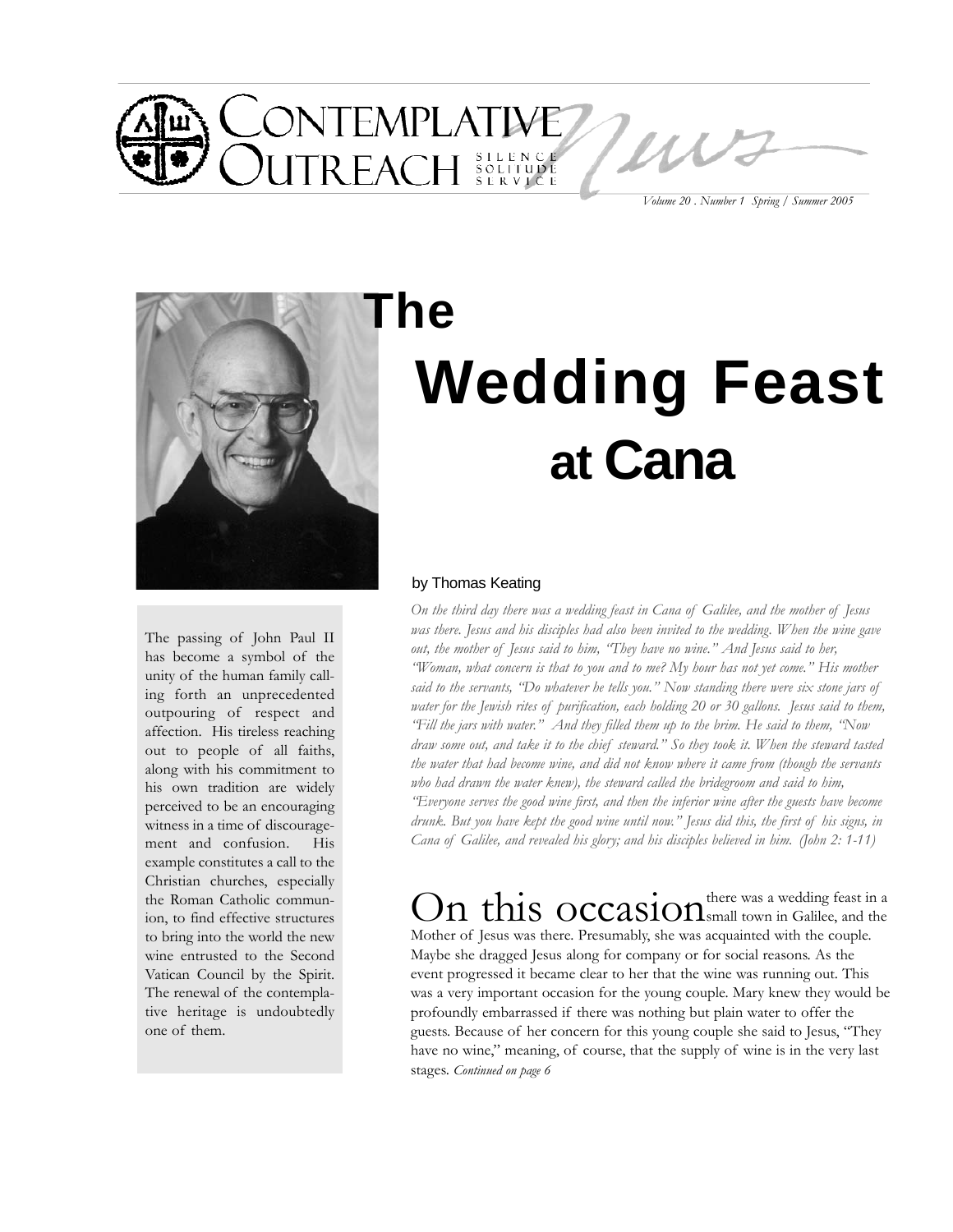

*Volume 20 . Number 1 Spring / Summer 2005*



#### The passing of John Paul II has become a symbol of the unity of the human family calling forth an unprecedented outpouring of respect and affection. His tireless reaching out to people of all faiths, along with his commitment to his own tradition are widely perceived to be an encouraging witness in a time of discouragement and confusion. His example constitutes a call to the Christian churches, especially the Roman Catholic communion, to find effective structures to bring into the world the new wine entrusted to the Second Vatican Council by the Spirit. The renewal of the contemplative heritage is undoubtedly one of them.

# **Wedding Feast at Cana The**

#### by Thomas Keating

*On the third day there was a wedding feast in Cana of Galilee, and the mother of Jesus was there. Jesus and his disciples had also been invited to the wedding. When the wine gave out, the mother of Jesus said to him, "They have no wine." And Jesus said to her, "Woman, what concern is that to you and to me? My hour has not yet come." His mother said to the servants, "Do whatever he tells you." Now standing there were six stone jars of water for the Jewish rites of purification, each holding 20 or 30 gallons. Jesus said to them, "Fill the jars with water." And they filled them up to the brim. He said to them, "Now draw some out, and take it to the chief steward." So they took it. When the steward tasted the water that had become wine, and did not know where it came from (though the servants who had drawn the water knew), the steward called the bridegroom and said to him, "Everyone serves the good wine first, and then the inferior wine after the guests have become drunk. But you have kept the good wine until now." Jesus did this, the first of his signs, in Cana of Galilee, and revealed his glory; and his disciples believed in him. (John 2: 1-11)*

On this occasionthere was a wedding feast in a Mother of Jesus was there. Presumably, she was acquainted with the couple. Maybe she dragged Jesus along for company or for social reasons. As the event progressed it became clear to her that the wine was running out. This was a very important occasion for the young couple. Mary knew they would be profoundly embarrassed if there was nothing but plain water to offer the guests. Because of her concern for this young couple she said to Jesus, "They have no wine," meaning, of course, that the supply of wine is in the very last stages. *Continued on page 6*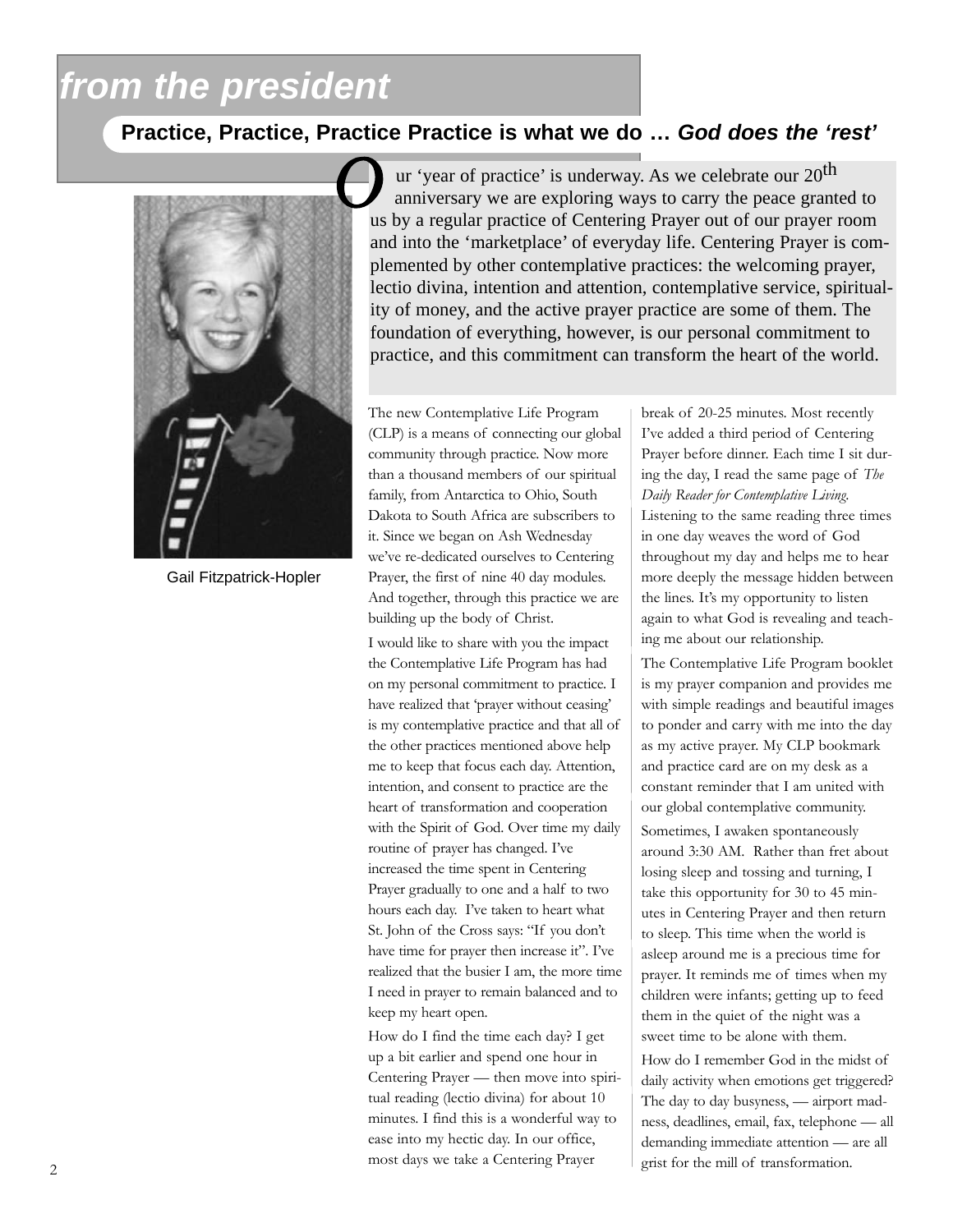# *from the president*

## **Practice, Practice, Practice Practice is what we do …** *God does the 'rest'*



Gail Fitzpatrick-Hopler

ur 'year of practice' is underway. As we celebrate our 20th anniversary we are exploring ways to carry the peace granted to us by a regular practice of Centering Prayer out of our prayer room and into the 'marketplace' of everyday life. Centering Prayer is complemented by other contemplative practices: the welcoming prayer, lectio divina, intention and attention, contemplative service, spirituality of money, and the active prayer practice are some of them. The foundation of everything, however, is our personal commitment to practice, and this commitment can transform the heart of the world.

The new Contemplative Life Program (CLP) is a means of connecting our global community through practice. Now more than a thousand members of our spiritual family, from Antarctica to Ohio, South Dakota to South Africa are subscribers to it. Since we began on Ash Wednesday we've re-dedicated ourselves to Centering Prayer, the first of nine 40 day modules. And together, through this practice we are building up the body of Christ.

I would like to share with you the impact the Contemplative Life Program has had on my personal commitment to practice. I have realized that 'prayer without ceasing' is my contemplative practice and that all of the other practices mentioned above help me to keep that focus each day. Attention, intention, and consent to practice are the heart of transformation and cooperation with the Spirit of God. Over time my daily routine of prayer has changed. I've increased the time spent in Centering Prayer gradually to one and a half to two hours each day. I've taken to heart what St. John of the Cross says: "If you don't have time for prayer then increase it". I've realized that the busier I am, the more time I need in prayer to remain balanced and to keep my heart open.

How do I find the time each day? I get up a bit earlier and spend one hour in Centering Prayer — then move into spiritual reading (lectio divina) for about 10 minutes. I find this is a wonderful way to ease into my hectic day. In our office, most days we take a Centering Prayer

break of 20-25 minutes. Most recently I've added a third period of Centering Prayer before dinner. Each time I sit during the day, I read the same page of *The Daily Reader for Contemplative Living*. Listening to the same reading three times in one day weaves the word of God throughout my day and helps me to hear more deeply the message hidden between the lines. It's my opportunity to listen again to what God is revealing and teaching me about our relationship.

The Contemplative Life Program booklet is my prayer companion and provides me with simple readings and beautiful images to ponder and carry with me into the day as my active prayer. My CLP bookmark and practice card are on my desk as a constant reminder that I am united with our global contemplative community. Sometimes, I awaken spontaneously around 3:30 AM. Rather than fret about losing sleep and tossing and turning, I take this opportunity for 30 to 45 minutes in Centering Prayer and then return to sleep. This time when the world is asleep around me is a precious time for prayer. It reminds me of times when my children were infants; getting up to feed them in the quiet of the night was a sweet time to be alone with them.

How do I remember God in the midst of daily activity when emotions get triggered? The day to day busyness, — airport madness, deadlines, email, fax, telephone — all demanding immediate attention — are all grist for the mill of transformation.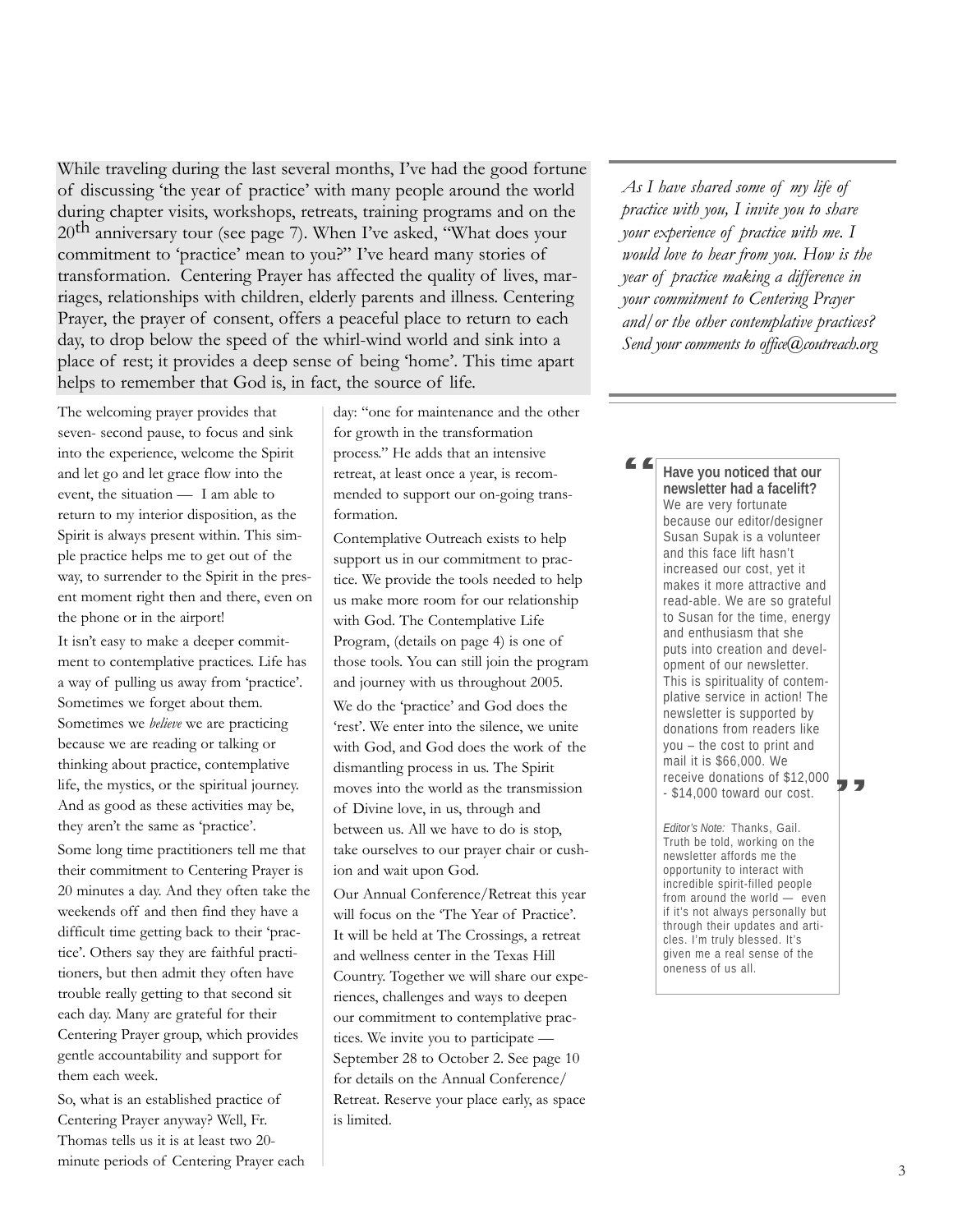While traveling during the last several months, I've had the good fortune of discussing 'the year of practice' with many people around the world during chapter visits, workshops, retreats, training programs and on the  $20<sup>th</sup>$  anniversary tour (see page 7). When I've asked, "What does your commitment to 'practice' mean to you?" I've heard many stories of transformation. Centering Prayer has affected the quality of lives, marriages, relationships with children, elderly parents and illness. Centering Prayer, the prayer of consent, offers a peaceful place to return to each day, to drop below the speed of the whirl-wind world and sink into a place of rest; it provides a deep sense of being 'home'. This time apart helps to remember that God is, in fact, the source of life.

The welcoming prayer provides that seven- second pause, to focus and sink into the experience, welcome the Spirit and let go and let grace flow into the event, the situation — I am able to return to my interior disposition, as the Spirit is always present within. This simple practice helps me to get out of the way, to surrender to the Spirit in the present moment right then and there, even on the phone or in the airport!

It isn't easy to make a deeper commitment to contemplative practices. Life has a way of pulling us away from 'practice'. Sometimes we forget about them. Sometimes we *believe* we are practicing because we are reading or talking or thinking about practice, contemplative life, the mystics, or the spiritual journey. And as good as these activities may be, they aren't the same as 'practice'.

Some long time practitioners tell me that their commitment to Centering Prayer is 20 minutes a day. And they often take the weekends off and then find they have a difficult time getting back to their 'practice'. Others say they are faithful practitioners, but then admit they often have trouble really getting to that second sit each day. Many are grateful for their Centering Prayer group, which provides gentle accountability and support for them each week.

So, what is an established practice of Centering Prayer anyway? Well, Fr. Thomas tells us it is at least two 20 minute periods of Centering Prayer each day: "one for maintenance and the other for growth in the transformation process." He adds that an intensive retreat, at least once a year, is recommended to support our on-going transformation.

Contemplative Outreach exists to help support us in our commitment to practice. We provide the tools needed to help us make more room for our relationship with God. The Contemplative Life Program, (details on page 4) is one of those tools. You can still join the program and journey with us throughout 2005. We do the 'practice' and God does the 'rest'. We enter into the silence, we unite with God, and God does the work of the dismantling process in us. The Spirit moves into the world as the transmission of Divine love, in us, through and between us. All we have to do is stop, take ourselves to our prayer chair or cushion and wait upon God.

Our Annual Conference/Retreat this year will focus on the 'The Year of Practice'. It will be held at The Crossings, a retreat and wellness center in the Texas Hill Country. Together we will share our experiences, challenges and ways to deepen our commitment to contemplative practices. We invite you to participate — September 28 to October 2. See page 10 for details on the Annual Conference/ Retreat. Reserve your place early, as space is limited.

*As I have shared some of my life of practice with you, I invite you to share your experience of practice with me. I would love to hear from you. How is the year of practice making a difference in your commitment to Centering Prayer and/or the other contemplative practices? Send your comments to office*@coutreach.org

**Have you noticed that our newsletter had a facelift?** We are very fortunate because our editor/designer Susan Supak is a volunteer and this face lift hasn't increased our cost, yet it makes it more attractive and read-able. We are so grateful to Susan for the time, energy and enthusiasm that she puts into creation and development of our newsletter. This is spirituality of contemplative service in action! The newsletter is supported by donations from readers like you – the cost to print and mail it is \$66,000. We receive donations of \$12,000 - \$14,000 toward our cost. " |<br>"<br>|

*Editor's Note:* Thanks, Gail. Truth be told, working on the newsletter affords me the opportunity to interact with incredible spirit-filled people from around the world — even if it's not always personally but through their updates and articles. I'm truly blessed. It's given me a real sense of the oneness of us all.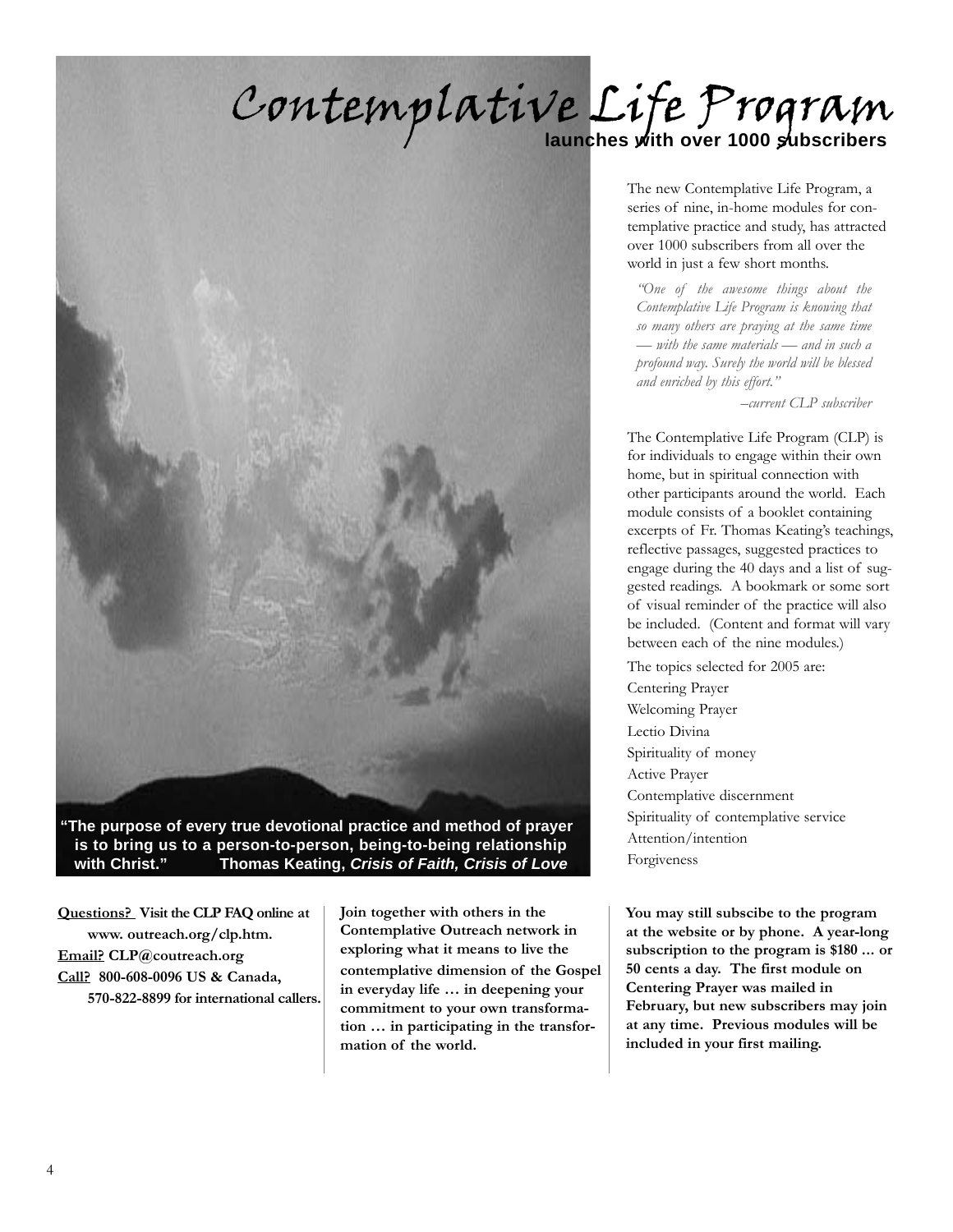# Contemplative Life Program



**"The purpose of every true devotional practice and method of prayer is to bring us to a person-to-person, being-to-being relationship with Christ." Thomas Keating,** *Crisis of Faith, Crisis of Love*

**Questions? Visit the CLP FAQ online at www. outreach.org/clp.htm. Email? CLP@coutreach.org Call? 800-608-0096 US & Canada, 570-822-8899 for international callers.**

**Join together with others in the Contemplative Outreach network in exploring what it means to live the contemplative dimension of the Gospel in everyday life … in deepening your commitment to your own transformation … in participating in the transformation of the world.**

The new Contemplative Life Program, a series of nine, in-home modules for contemplative practice and study, has attracted over 1000 subscribers from all over the world in just a few short months.

*"One of the awesome things about the Contemplative Life Program is knowing that so many others are praying at the same time — with the same materials — and in such a profound way. Surely the world will be blessed and enriched by this effort."*

*–current CLP subscriber*

The Contemplative Life Program (CLP) is for individuals to engage within their own home, but in spiritual connection with other participants around the world. Each module consists of a booklet containing excerpts of Fr. Thomas Keating's teachings, reflective passages, suggested practices to engage during the 40 days and a list of suggested readings. A bookmark or some sort of visual reminder of the practice will also be included. (Content and format will vary between each of the nine modules.)

The topics selected for 2005 are: Centering Prayer Welcoming Prayer Lectio Divina Spirituality of money Active Prayer Contemplative discernment Spirituality of contemplative service Attention/intention Forgiveness

**You may still subscibe to the program at the website or by phone. A year-long subscription to the program is \$180 ... or 50 cents a day. The first module on Centering Prayer was mailed in February, but new subscribers may join at any time. Previous modules will be included in your first mailing.**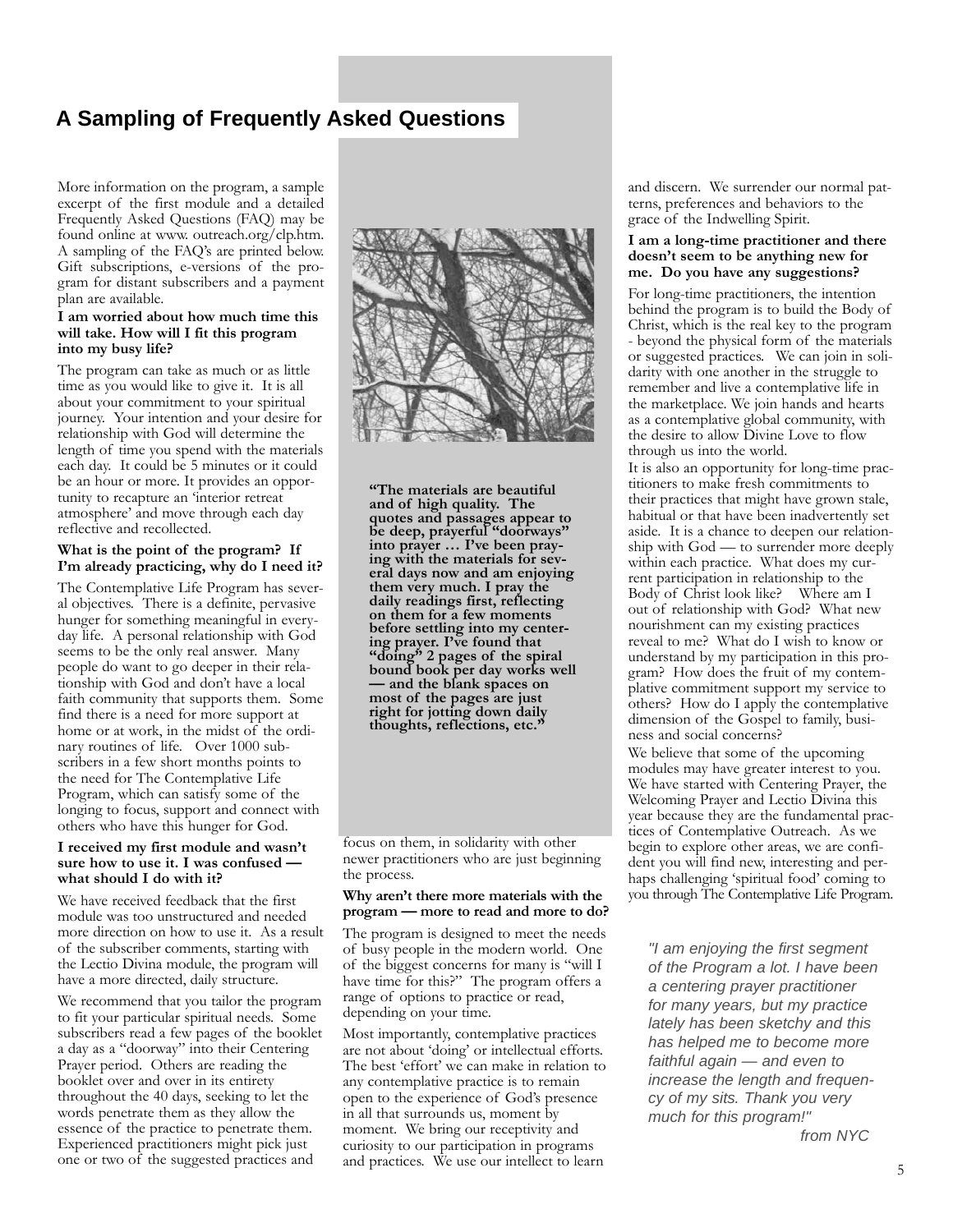### **A Sampling of Frequently Asked Questions**

More information on the program, a sample excerpt of the first module and a detailed Frequently Asked Questions (FAQ) may be found online at www. outreach.org/clp.htm. A sampling of the FAQ's are printed below. Gift subscriptions, e-versions of the program for distant subscribers and a payment plan are available.

#### **I am worried about how much time this will take. How will I fit this program into my busy life?**

The program can take as much or as little time as you would like to give it. It is all about your commitment to your spiritual journey. Your intention and your desire for relationship with God will determine the length of time you spend with the materials each day. It could be 5 minutes or it could be an hour or more. It provides an opportunity to recapture an 'interior retreat atmosphere' and move through each day reflective and recollected.

#### **What is the point of the program? If I'm already practicing, why do I need it?**

The Contemplative Life Program has several objectives. There is a definite, pervasive hunger for something meaningful in everyday life. A personal relationship with God seems to be the only real answer. Many people do want to go deeper in their relationship with God and don't have a local faith community that supports them. Some find there is a need for more support at home or at work, in the midst of the ordinary routines of life. Over 1000 subscribers in a few short months points to the need for The Contemplative Life Program, which can satisfy some of the longing to focus, support and connect with others who have this hunger for God.

#### **I received my first module and wasn't sure how to use it. I was confused what should I do with it?**

We have received feedback that the first module was too unstructured and needed more direction on how to use it. As a result of the subscriber comments, starting with the Lectio Divina module, the program will have a more directed, daily structure.

We recommend that you tailor the program to fit your particular spiritual needs. Some subscribers read a few pages of the booklet a day as a "doorway" into their Centering Prayer period. Others are reading the booklet over and over in its entirety throughout the 40 days, seeking to let the words penetrate them as they allow the essence of the practice to penetrate them. Experienced practitioners might pick just one or two of the suggested practices and



**"The materials are beautiful and of high quality. The quotes and passages appear to be deep, prayerful "doorways" into prayer … I've been praying with the materials for several days now and am enjoying them very much. I pray the daily readings first, reflecting on them for a few moments before settling into my centering prayer. I've found that "doing" 2 pages of the spiral bound book per day works well — and the blank spaces on most of the pages are just right for jotting down daily thoughts, reflections, etc."**

focus on them, in solidarity with other newer practitioners who are just beginning the process.

#### **Why aren't there more materials with the program — more to read and more to do?**

The program is designed to meet the needs of busy people in the modern world. One of the biggest concerns for many is "will I have time for this?" The program offers a range of options to practice or read, depending on your time.

Most importantly, contemplative practices are not about 'doing' or intellectual efforts. The best 'effort' we can make in relation to any contemplative practice is to remain open to the experience of God's presence in all that surrounds us, moment by moment. We bring our receptivity and curiosity to our participation in programs and practices. We use our intellect to learn

and discern. We surrender our normal patterns, preferences and behaviors to the grace of the Indwelling Spirit.

#### **I am a long-time practitioner and there doesn't seem to be anything new for me. Do you have any suggestions?**

For long-time practitioners, the intention behind the program is to build the Body of Christ, which is the real key to the program - beyond the physical form of the materials or suggested practices. We can join in solidarity with one another in the struggle to remember and live a contemplative life in the marketplace. We join hands and hearts as a contemplative global community, with the desire to allow Divine Love to flow through us into the world.

It is also an opportunity for long-time practitioners to make fresh commitments to their practices that might have grown stale, habitual or that have been inadvertently set aside. It is a chance to deepen our relationship with God — to surrender more deeply within each practice. What does my current participation in relationship to the Body of Christ look like? Where am I out of relationship with God? What new nourishment can my existing practices reveal to me? What do I wish to know or understand by my participation in this program? How does the fruit of my contemplative commitment support my service to others? How do I apply the contemplative dimension of the Gospel to family, business and social concerns?

We believe that some of the upcoming modules may have greater interest to you. We have started with Centering Prayer, the Welcoming Prayer and Lectio Divina this year because they are the fundamental practices of Contemplative Outreach. As we begin to explore other areas, we are confident you will find new, interesting and perhaps challenging 'spiritual food' coming to you through The Contemplative Life Program.

*"I am enjoying the first segment of the Program a lot. I have been a centering prayer practitioner for many years, but my practice lately has been sketchy and this has helped me to become more faithful again — and even to increase the length and frequency of my sits. Thank you very much for this program!"* 

*from NYC*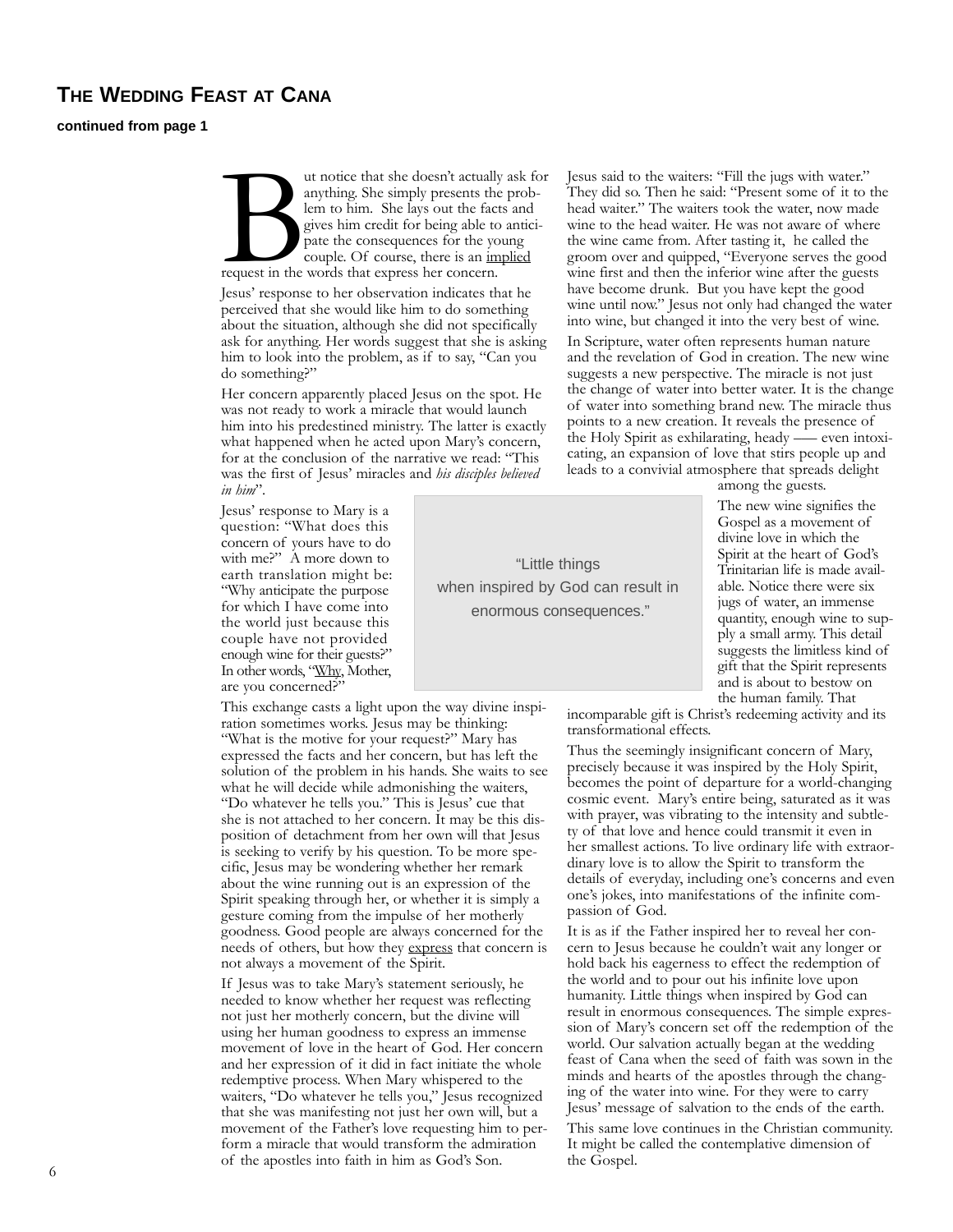#### **THE WEDDING FEAST AT CANA**

**continued from page 1**

ut notice that she doesn't actually ask for<br>anything. She simply presents the prob-<br>lem to him. She lays out the facts and<br>gives him credit for being able to antici-<br>pate the consequences for the young<br>couple. Of course, t anything. She simply presents the problem to him. She lays out the facts and gives him credit for being able to anticipate the consequences for the young couple. Of course, there is an implied request in the words that express her concern.

Jesus' response to her observation indicates that he perceived that she would like him to do something about the situation, although she did not specifically ask for anything. Her words suggest that she is asking him to look into the problem, as if to say, "Can you do something?"

Her concern apparently placed Jesus on the spot. He was not ready to work a miracle that would launch him into his predestined ministry. The latter is exactly what happened when he acted upon Mary's concern, for at the conclusion of the narrative we read: "This was the first of Jesus' miracles and *his disciples believed in him*".

> "Little things when inspired by God can result in enormous consequences."

Jesus' response to Mary is a question: "What does this concern of yours have to do with me?" A more down to earth translation might be: "Why anticipate the purpose for which I have come into the world just because this couple have not provided enough wine for their guests?" In other words, "Why, Mother, are you concerned?"

This exchange casts a light upon the way divine inspiration sometimes works. Jesus may be thinking: "What is the motive for your request?" Mary has expressed the facts and her concern, but has left the solution of the problem in his hands. She waits to see what he will decide while admonishing the waiters, "Do whatever he tells you." This is Jesus' cue that she is not attached to her concern. It may be this disposition of detachment from her own will that Jesus is seeking to verify by his question. To be more specific, Jesus may be wondering whether her remark about the wine running out is an expression of the Spirit speaking through her, or whether it is simply a gesture coming from the impulse of her motherly goodness. Good people are always concerned for the needs of others, but how they express that concern is not always a movement of the Spirit.

If Jesus was to take Mary's statement seriously, he needed to know whether her request was reflecting not just her motherly concern, but the divine will using her human goodness to express an immense movement of love in the heart of God. Her concern and her expression of it did in fact initiate the whole redemptive process. When Mary whispered to the waiters, "Do whatever he tells you," Jesus recognized that she was manifesting not just her own will, but a movement of the Father's love requesting him to perform a miracle that would transform the admiration of the apostles into faith in him as God's Son. the Gospel. <sup>6</sup>

Jesus said to the waiters: "Fill the jugs with water." They did so. Then he said: "Present some of it to the head waiter." The waiters took the water, now made wine to the head waiter. He was not aware of where the wine came from. After tasting it, he called the groom over and quipped, "Everyone serves the good wine first and then the inferior wine after the guests have become drunk. But you have kept the good wine until now." Jesus not only had changed the water into wine, but changed it into the very best of wine.

In Scripture, water often represents human nature and the revelation of God in creation. The new wine suggests a new perspective. The miracle is not just the change of water into better water. It is the change of water into something brand new. The miracle thus points to a new creation. It reveals the presence of the Holy Spirit as exhilarating, heady –— even intoxicating, an expansion of love that stirs people up and leads to a convivial atmosphere that spreads delight

among the guests.

The new wine signifies the Gospel as a movement of divine love in which the Spirit at the heart of God's Trinitarian life is made available. Notice there were six jugs of water, an immense quantity, enough wine to supply a small army. This detail suggests the limitless kind of gift that the Spirit represents and is about to bestow on the human family. That

incomparable gift is Christ's redeeming activity and its transformational effects.

Thus the seemingly insignificant concern of Mary, precisely because it was inspired by the Holy Spirit, becomes the point of departure for a world-changing cosmic event. Mary's entire being, saturated as it was with prayer, was vibrating to the intensity and subtlety of that love and hence could transmit it even in her smallest actions. To live ordinary life with extraordinary love is to allow the Spirit to transform the details of everyday, including one's concerns and even one's jokes, into manifestations of the infinite compassion of God.

It is as if the Father inspired her to reveal her concern to Jesus because he couldn't wait any longer or hold back his eagerness to effect the redemption of the world and to pour out his infinite love upon humanity. Little things when inspired by God can result in enormous consequences. The simple expression of Mary's concern set off the redemption of the world. Our salvation actually began at the wedding feast of Cana when the seed of faith was sown in the minds and hearts of the apostles through the changing of the water into wine. For they were to carry Jesus' message of salvation to the ends of the earth.

This same love continues in the Christian community. It might be called the contemplative dimension of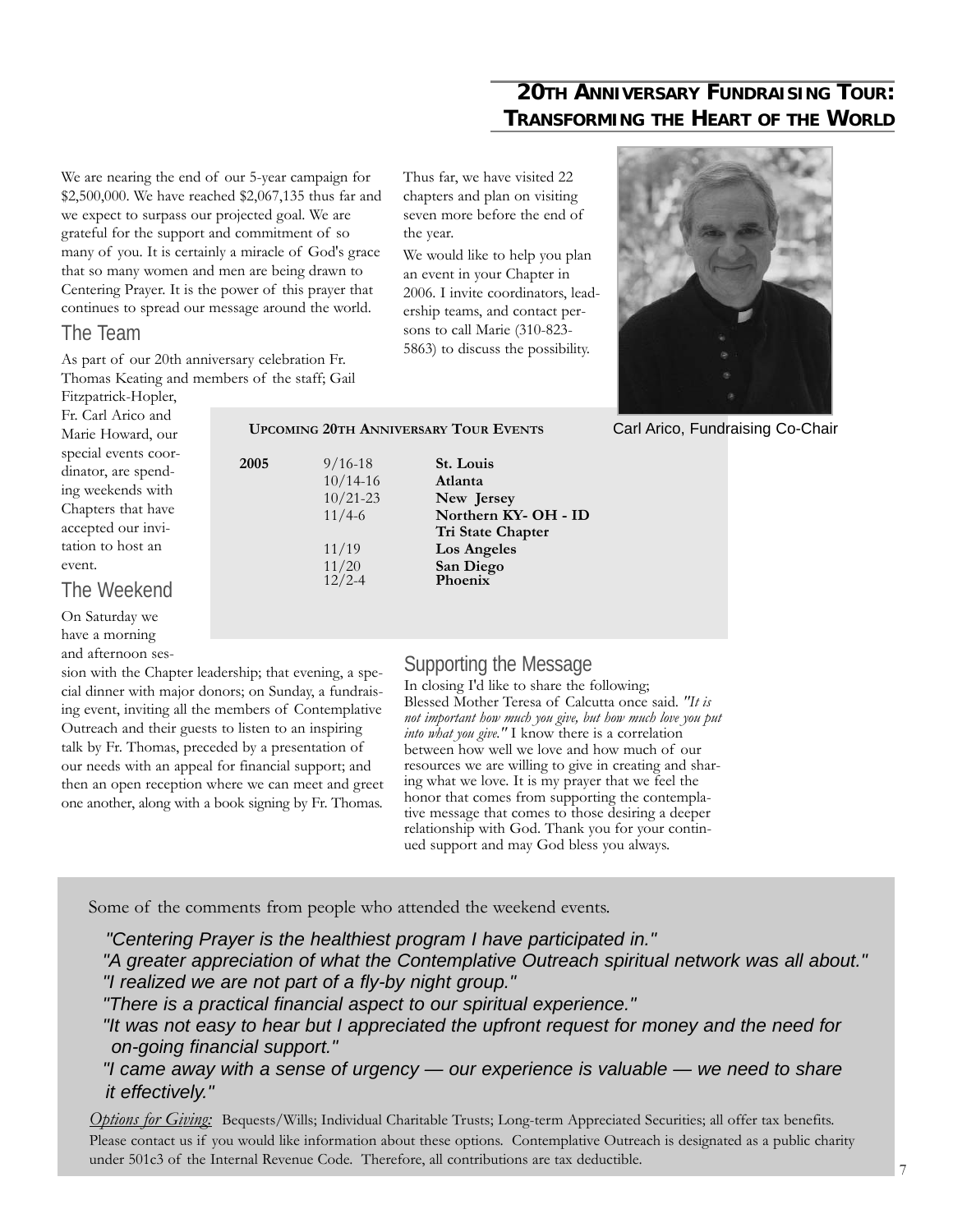### **20TH ANNIVERSARY FUNDRAISING TOUR: TRANSFORMING THE HEART OF THE WORLD**

We are nearing the end of our 5-year campaign for \$2,500,000. We have reached \$2,067,135 thus far and we expect to surpass our projected goal. We are grateful for the support and commitment of so many of you. It is certainly a miracle of God's grace that so many women and men are being drawn to Centering Prayer. It is the power of this prayer that continues to spread our message around the world.

#### The Team

As part of our 20th anniversary celebration Fr. Thomas Keating and members of the staff; Gail Thus far, we have visited 22 chapters and plan on visiting seven more before the end of the year.

We would like to help you plan an event in your Chapter in 2006. I invite coordinators, leadership teams, and contact persons to call Marie (310-823- 5863) to discuss the possibility.



Carl Arico, Fundraising Co-Chair

Fitzpatrick-Hopler, Fr. Carl Arico and Marie Howard, our special events coordinator, are spending weekends with Chapters that have accepted our invitation to host an event.

#### The Weekend

On Saturday we have a morning and afternoon ses-

sion with the Chapter leadership; that evening, a special dinner with major donors; on Sunday, a fundraising event, inviting all the members of Contemplative Outreach and their guests to listen to an inspiring talk by Fr. Thomas, preceded by a presentation of our needs with an appeal for financial support; and then an open reception where we can meet and greet one another, along with a book signing by Fr. Thomas.

**Tri State Chapter**

11/4-6 **Northern KY- OH - ID**

**UPCOMING 20TH ANNIVERSARY TOUR EVENTS**

10/14-16 **Atlanta** 10/21-23 **New Jersey**

11/19 **Los Angeles** 11/20 **San Diego** 12/2-4 **Phoenix**

**2005** 9/16-18 **St. Louis** 

#### Supporting the Message

In closing I'd like to share the following; Blessed Mother Teresa of Calcutta once said. *"It is not important how much you give, but how much love you put into what you give."* I know there is a correlation between how well we love and how much of our resources we are willing to give in creating and sharing what we love. It is my prayer that we feel the honor that comes from supporting the contemplative message that comes to those desiring a deeper relationship with God. Thank you for your continued support and may God bless you always.

Some of the comments from people who attended the weekend events.

*"Centering Prayer is the healthiest program I have participated in." "A greater appreciation of what the Contemplative Outreach spiritual network was all about." "I realized we are not part of a fly-by night group."*

*"There is a practical financial aspect to our spiritual experience."*

*"It was not easy to hear but I appreciated the upfront request for money and the need for on-going financial support."*

*"I came away with a sense of urgency — our experience is valuable — we need to share it effectively."*

*Options for Giving:* Bequests/Wills; Individual Charitable Trusts; Long-term Appreciated Securities; all offer tax benefits. Please contact us if you would like information about these options. Contemplative Outreach is designated as a public charity under 501c3 of the Internal Revenue Code. Therefore, all contributions are tax deductible.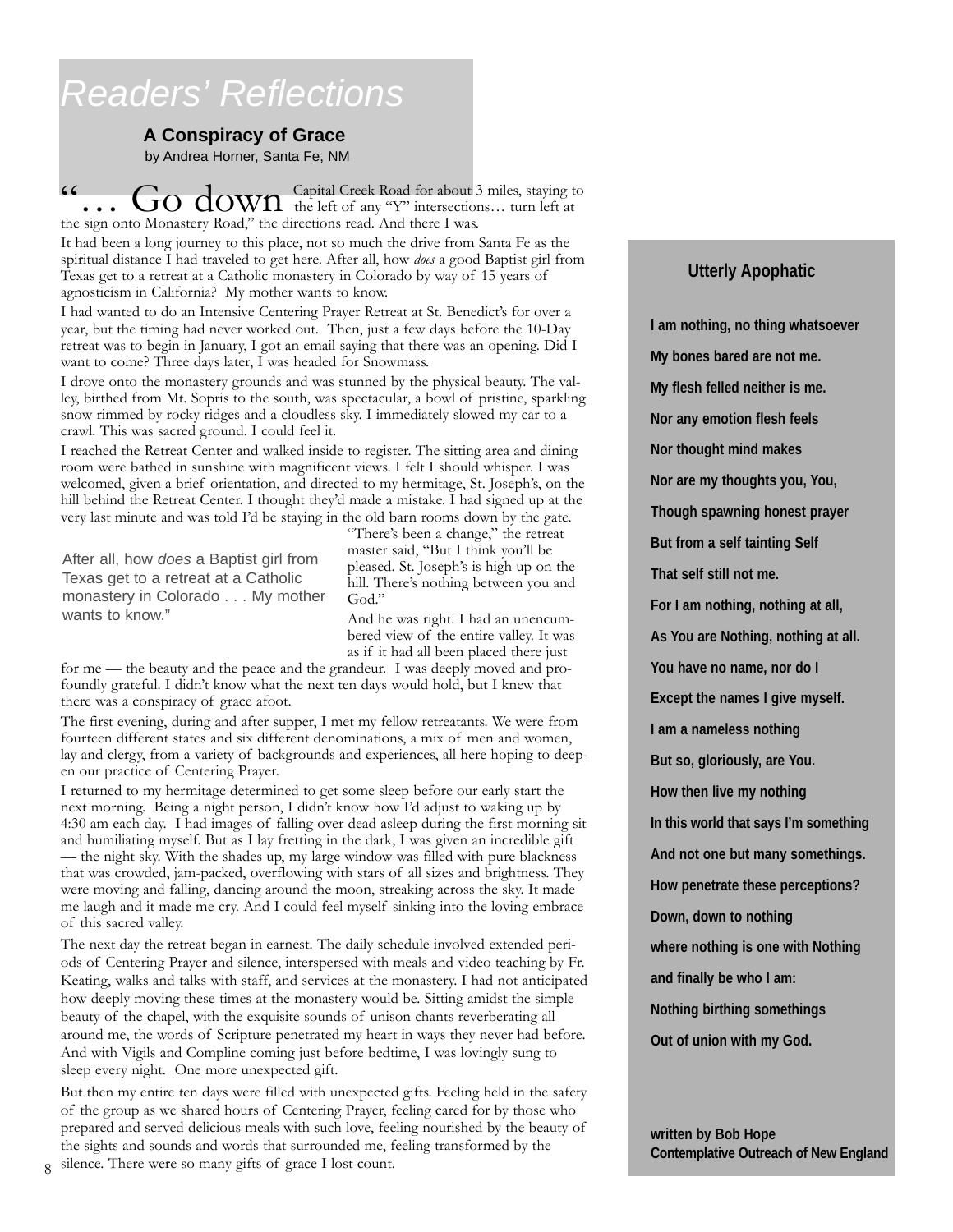# *Readers' Reflections*

#### **A Conspiracy of Grace**

by Andrea Horner, Santa Fe, NM

"… Go down Capital Creek Road for about 3 miles, staying to the left of any "Y" intersections… turn left at the sign onto Monastery Road," the directions read. And there I was.

It had been a long journey to this place, not so much the drive from Santa Fe as the spiritual distance I had traveled to get here. After all, how *does* a good Baptist girl from Texas get to a retreat at a Catholic monastery in Colorado by way of 15 years of agnosticism in California? My mother wants to know.

I had wanted to do an Intensive Centering Prayer Retreat at St. Benedict's for over a year, but the timing had never worked out. Then, just a few days before the 10-Day retreat was to begin in January, I got an email saying that there was an opening. Did I want to come? Three days later, I was headed for Snowmass.

I drove onto the monastery grounds and was stunned by the physical beauty. The valley, birthed from Mt. Sopris to the south, was spectacular, a bowl of pristine, sparkling snow rimmed by rocky ridges and a cloudless sky. I immediately slowed my car to a crawl. This was sacred ground. I could feel it.

I reached the Retreat Center and walked inside to register. The sitting area and dining room were bathed in sunshine with magnificent views. I felt I should whisper. I was welcomed, given a brief orientation, and directed to my hermitage, St. Joseph's, on the hill behind the Retreat Center. I thought they'd made a mistake. I had signed up at the very last minute and was told I'd be staying in the old barn rooms down by the gate.

After all, how *does* a Baptist girl from Texas get to a retreat at a Catholic monastery in Colorado . . . My mother wants to know."

"There's been a change," the retreat master said, "But I think you'll be pleased. St. Joseph's is high up on the hill. There's nothing between you and God."

And he was right. I had an unencumbered view of the entire valley. It was as if it had all been placed there just

for me — the beauty and the peace and the grandeur. I was deeply moved and profoundly grateful. I didn't know what the next ten days would hold, but I knew that there was a conspiracy of grace afoot.

The first evening, during and after supper, I met my fellow retreatants. We were from fourteen different states and six different denominations, a mix of men and women, lay and clergy, from a variety of backgrounds and experiences, all here hoping to deepen our practice of Centering Prayer.

I returned to my hermitage determined to get some sleep before our early start the next morning. Being a night person, I didn't know how I'd adjust to waking up by 4:30 am each day. I had images of falling over dead asleep during the first morning sit and humiliating myself. But as I lay fretting in the dark, I was given an incredible gift — the night sky. With the shades up, my large window was filled with pure blackness that was crowded, jam-packed, overflowing with stars of all sizes and brightness. They were moving and falling, dancing around the moon, streaking across the sky. It made me laugh and it made me cry. And I could feel myself sinking into the loving embrace of this sacred valley.

The next day the retreat began in earnest. The daily schedule involved extended periods of Centering Prayer and silence, interspersed with meals and video teaching by Fr. Keating, walks and talks with staff, and services at the monastery. I had not anticipated how deeply moving these times at the monastery would be. Sitting amidst the simple beauty of the chapel, with the exquisite sounds of unison chants reverberating all around me, the words of Scripture penetrated my heart in ways they never had before. And with Vigils and Compline coming just before bedtime, I was lovingly sung to sleep every night. One more unexpected gift.

But then my entire ten days were filled with unexpected gifts. Feeling held in the safety of the group as we shared hours of Centering Prayer, feeling cared for by those who prepared and served delicious meals with such love, feeling nourished by the beauty of the sights and sounds and words that surrounded me, feeling transformed by the

silence. There were so many gifts of grace I lost count. 8

#### **Utterly Apophatic**

**I am nothing, no thing whatsoever My bones bared are not me. My flesh felled neither is me. Nor any emotion flesh feels Nor thought mind makes Nor are my thoughts you, You, Though spawning honest prayer But from a self tainting Self That self still not me. For I am nothing, nothing at all, As You are Nothing, nothing at all. You have no name, nor do I Except the names I give myself. I am a nameless nothing But so, gloriously, are You. How then live my nothing In this world that says I'm something And not one but many somethings. How penetrate these perceptions? Down, down to nothing where nothing is one with Nothing and finally be who I am: Nothing birthing somethings Out of union with my God.**

**written by Bob Hope Contemplative Outreach of New England**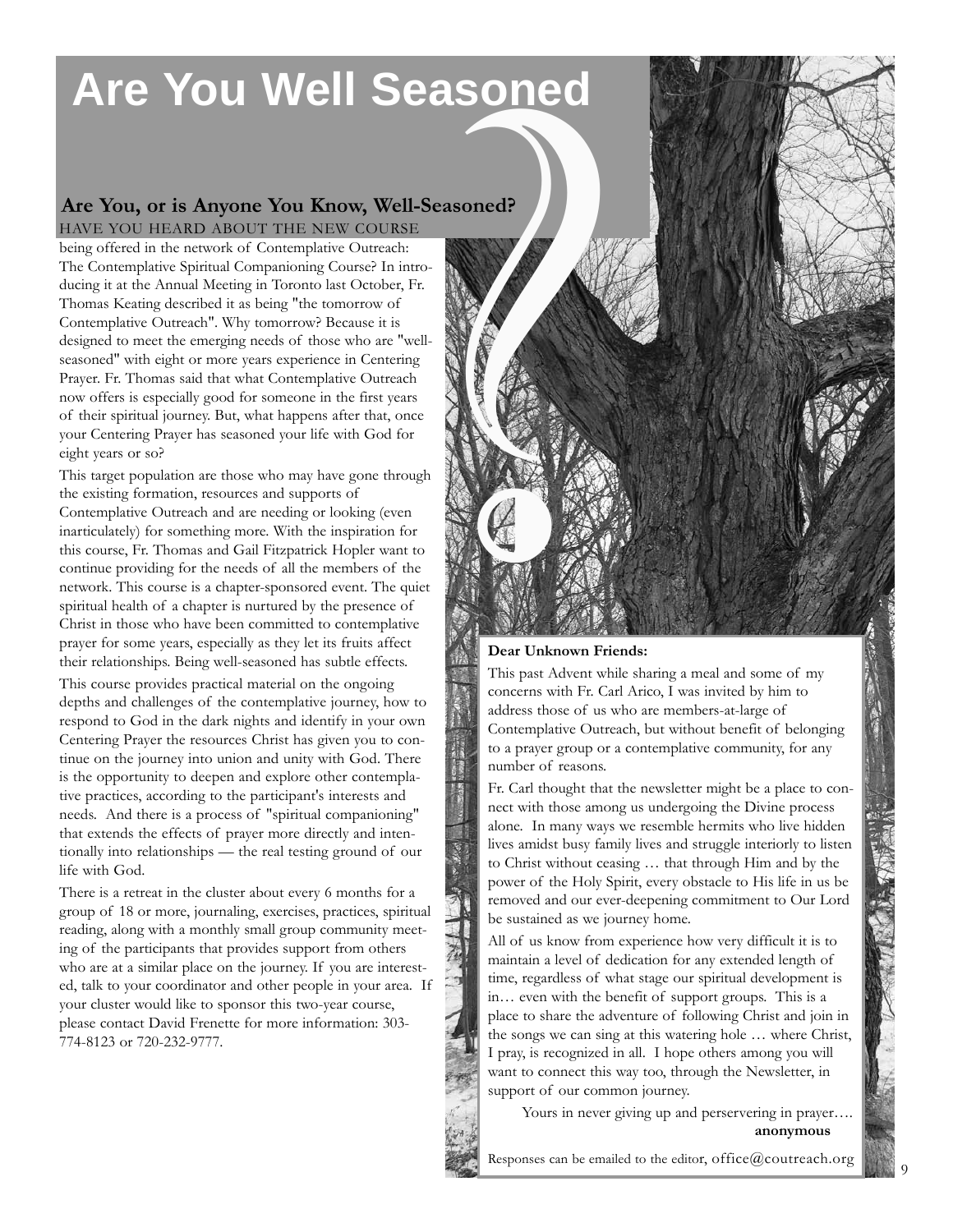# **Are You Well Seasoned**

## **Are You, or is Anyone You Know, Well-Seasoned?**

being offered in the network of Contemplative Outreach: The Contemplative Spiritual Companioning Course? In introducing it at the Annual Meeting in Toronto last October, Fr. Thomas Keating described it as being "the tomorrow of Contemplative Outreach". Why tomorrow? Because it is designed to meet the emerging needs of those who are "wellseasoned" with eight or more years experience in Centering Prayer. Fr. Thomas said that what Contemplative Outreach now offers is especially good for someone in the first years of their spiritual journey. But, what happens after that, once your Centering Prayer has seasoned your life with God for eight years or so?

This target population are those who may have gone through the existing formation, resources and supports of Contemplative Outreach and are needing or looking (even inarticulately) for something more. With the inspiration for this course, Fr. Thomas and Gail Fitzpatrick Hopler want to continue providing for the needs of all the members of the network. This course is a chapter-sponsored event. The quiet spiritual health of a chapter is nurtured by the presence of Christ in those who have been committed to contemplative prayer for some years, especially as they let its fruits affect their relationships. Being well-seasoned has subtle effects.

This course provides practical material on the ongoing depths and challenges of the contemplative journey, how to respond to God in the dark nights and identify in your own Centering Prayer the resources Christ has given you to continue on the journey into union and unity with God. There is the opportunity to deepen and explore other contemplative practices, according to the participant's interests and needs. And there is a process of "spiritual companioning" that extends the effects of prayer more directly and intentionally into relationships — the real testing ground of our life with God.

There is a retreat in the cluster about every 6 months for a group of 18 or more, journaling, exercises, practices, spiritual reading, along with a monthly small group community meeting of the participants that provides support from others who are at a similar place on the journey. If you are interested, talk to your coordinator and other people in your area. If your cluster would like to sponsor this two-year course, please contact David Frenette for more information: 303- 774-8123 or 720-232-9777.



**Dear Unknown Friends:**

This past Advent while sharing a meal and some of my concerns with Fr. Carl Arico, I was invited by him to address those of us who are members-at-large of Contemplative Outreach, but without benefit of belonging to a prayer group or a contemplative community, for any number of reasons.

Fr. Carl thought that the newsletter might be a place to connect with those among us undergoing the Divine process alone. In many ways we resemble hermits who live hidden lives amidst busy family lives and struggle interiorly to listen to Christ without ceasing … that through Him and by the power of the Holy Spirit, every obstacle to His life in us be removed and our ever-deepening commitment to Our Lord be sustained as we journey home.

All of us know from experience how very difficult it is to maintain a level of dedication for any extended length of time, regardless of what stage our spiritual development is in… even with the benefit of support groups. This is a place to share the adventure of following Christ and join in the songs we can sing at this watering hole … where Christ, I pray, is recognized in all. I hope others among you will want to connect this way too, through the Newsletter, in support of our common journey.

Yours in never giving up and perservering in prayer…. **anonymous**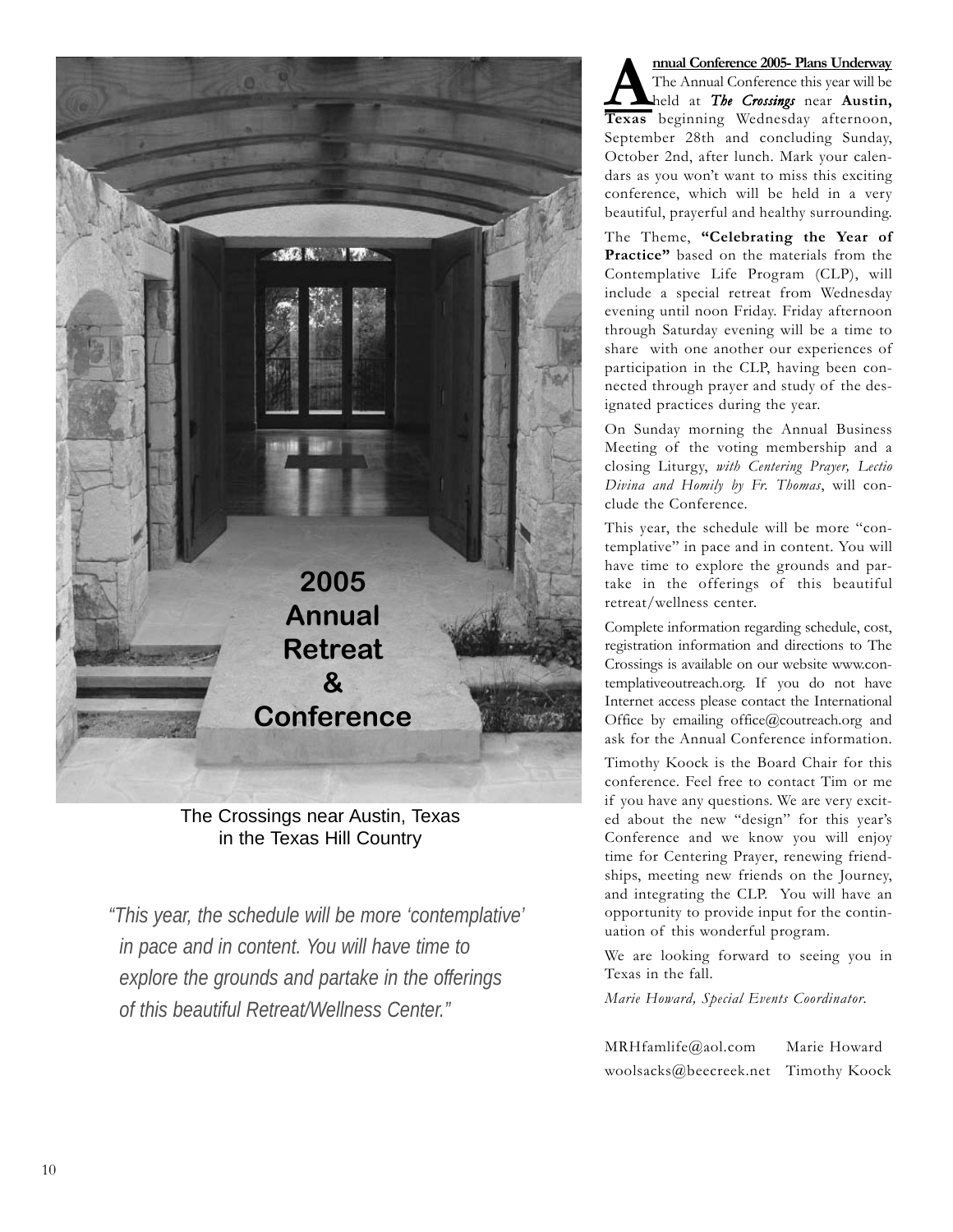

The Crossings near Austin, Texas in the Texas Hill Country

*"This year, the schedule will be more 'contemplative' in pace and in content. You will have time to explore the grounds and partake in the offerings of this beautiful Retreat/Wellness Center."*

**Annual Conference 2005- Plans Underway**<br>The Annual Conference this year will be<br>Texas beginning Wednesday afternoon The Annual Conference this year will be held at *The Crossings* near **Austin, Texas** beginning Wednesday afternoon, September 28th and concluding Sunday, October 2nd, after lunch. Mark your calendars as you won't want to miss this exciting conference, which will be held in a very beautiful, prayerful and healthy surrounding.

The Theme, **"Celebrating the Year of Practice"** based on the materials from the Contemplative Life Program (CLP), will include a special retreat from Wednesday evening until noon Friday. Friday afternoon through Saturday evening will be a time to share with one another our experiences of participation in the CLP, having been connected through prayer and study of the designated practices during the year.

On Sunday morning the Annual Business Meeting of the voting membership and a closing Liturgy, *with Centering Prayer, Lectio Divina and Homily by Fr. Thomas*, will conclude the Conference.

This year, the schedule will be more "contemplative" in pace and in content. You will have time to explore the grounds and partake in the offerings of this beautiful retreat/wellness center.

Complete information regarding schedule, cost, registration information and directions to The Crossings is available on our website www.contemplativeoutreach.org. If you do not have Internet access please contact the International Office by emailing office@coutreach.org and ask for the Annual Conference information.

Timothy Koock is the Board Chair for this conference. Feel free to contact Tim or me if you have any questions. We are very excited about the new "design" for this year's Conference and we know you will enjoy time for Centering Prayer, renewing friendships, meeting new friends on the Journey, and integrating the CLP. You will have an opportunity to provide input for the continuation of this wonderful program.

We are looking forward to seeing you in Texas in the fall.

*Marie Howard, Special Events Coordinator.* 

MRHfamlife@aol.com Marie Howard woolsacks@beecreek.net Timothy Koock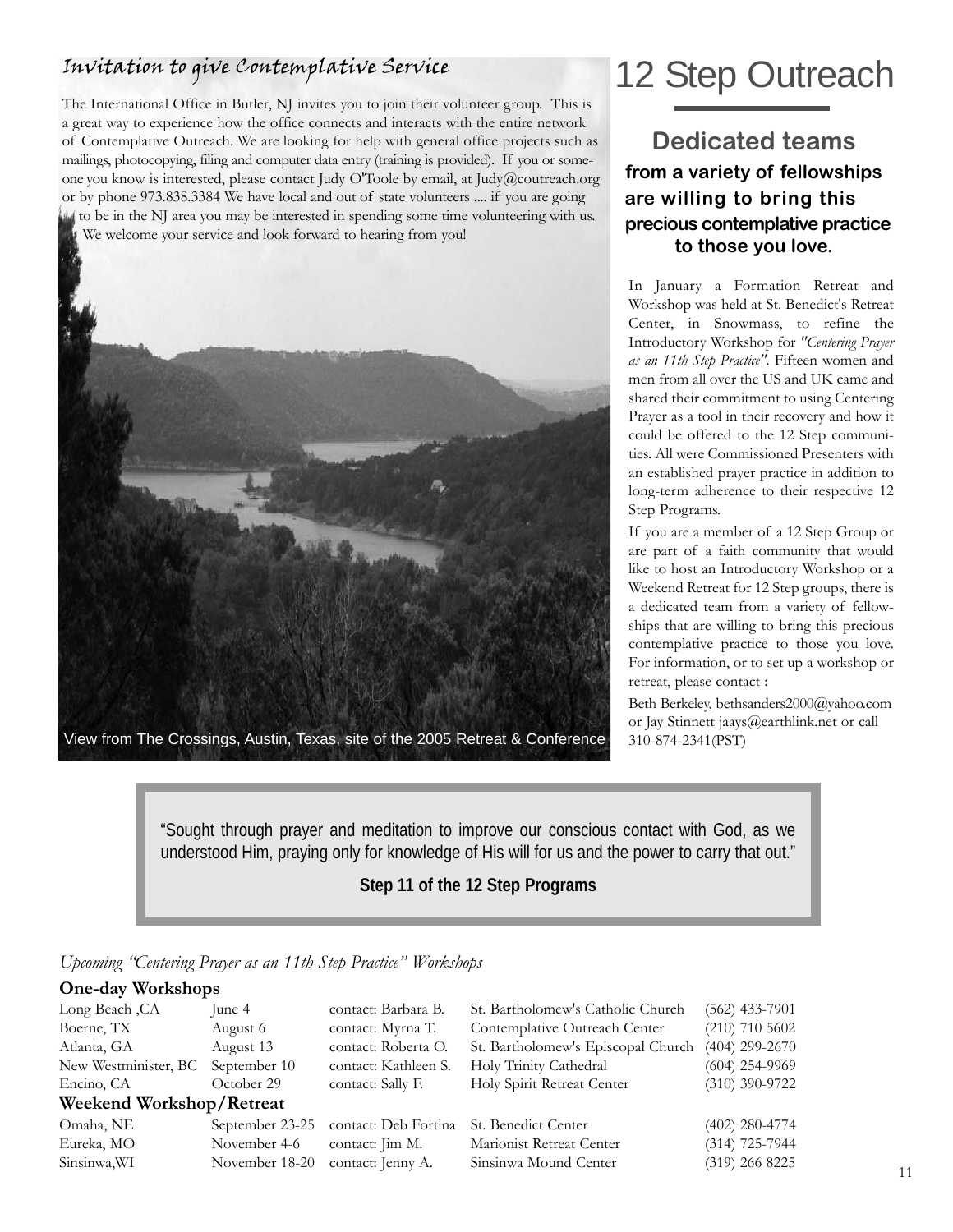## Invitation to give Contemplative Service

The International Office in Butler, NJ invites you to join their volunteer group. This is a great way to experience how the office connects and interacts with the entire network of Contemplative Outreach. We are looking for help with general office projects such as mailings, photocopying, filing and computer data entry (training is provided). If you or someone you know is interested, please contact Judy O'Toole by email, at Judy@coutreach.org or by phone 973.838.3384 We have local and out of state volunteers .... if you are going to be in the NJ area you may be interested in spending some time volunteering with us. We welcome your service and look forward to hearing from you!



# 12 Step Outreach

**Dedicated teams from a variety of fellowships are willing to bring this precious contemplative practice to those you love.** 

In January a Formation Retreat and Workshop was held at St. Benedict's Retreat Center, in Snowmass, to refine the Introductory Workshop for *"Centering Prayer as an 11th Step Practice".* Fifteen women and men from all over the US and UK came and shared their commitment to using Centering Prayer as a tool in their recovery and how it could be offered to the 12 Step communities. All were Commissioned Presenters with an established prayer practice in addition to long-term adherence to their respective 12 Step Programs.

If you are a member of a 12 Step Group or are part of a faith community that would like to host an Introductory Workshop or a Weekend Retreat for 12 Step groups, there is a dedicated team from a variety of fellowships that are willing to bring this precious contemplative practice to those you love. For information, or to set up a workshop or retreat, please contact :

Beth Berkeley, bethsanders2000@yahoo.com or Jay Stinnett jaays@earthlink.net or call 310-874-2341(PST)

"Sought through prayer and meditation to improve our conscious contact with God, as we understood Him, praying only for knowledge of His will for us and the power to carry that out."

#### **Step 11 of the 12 Step Programs**

#### *Upcoming "Centering Prayer as an 11th Step Practice" Workshops*

#### **One-day Workshops**

| Long Beach, CA           | June 4          | contact: Barbara B.  | St. Bartholomew's Catholic Church  | $(562)$ 433-7901 |
|--------------------------|-----------------|----------------------|------------------------------------|------------------|
| Boerne, TX               | August 6        | contact: Myrna T.    | Contemplative Outreach Center      | $(210)$ 710 5602 |
| Atlanta, GA              | August 13       | contact: Roberta O.  | St. Bartholomew's Episcopal Church | $(404)$ 299-2670 |
| New Westminister, BC     | September 10    | contact: Kathleen S. | Holy Trinity Cathedral             | $(604)$ 254-9969 |
| Encino, CA               | October 29      | contact: Sally F.    | Holy Spirit Retreat Center         | $(310)$ 390-9722 |
| Weekend Workshop/Retreat |                 |                      |                                    |                  |
| Omaha, NE                | September 23-25 | contact: Deb Fortina | St. Benedict Center                | $(402)$ 280-4774 |
| Eureka, MO               | November 4-6    | contact: Jim M.      | Marionist Retreat Center           | $(314)$ 725-7944 |
| Sinsinwa, WI             | November 18-20  | contact: Jenny A.    | Sinsinwa Mound Center              | $(319)$ 266 8225 |
|                          |                 |                      |                                    |                  |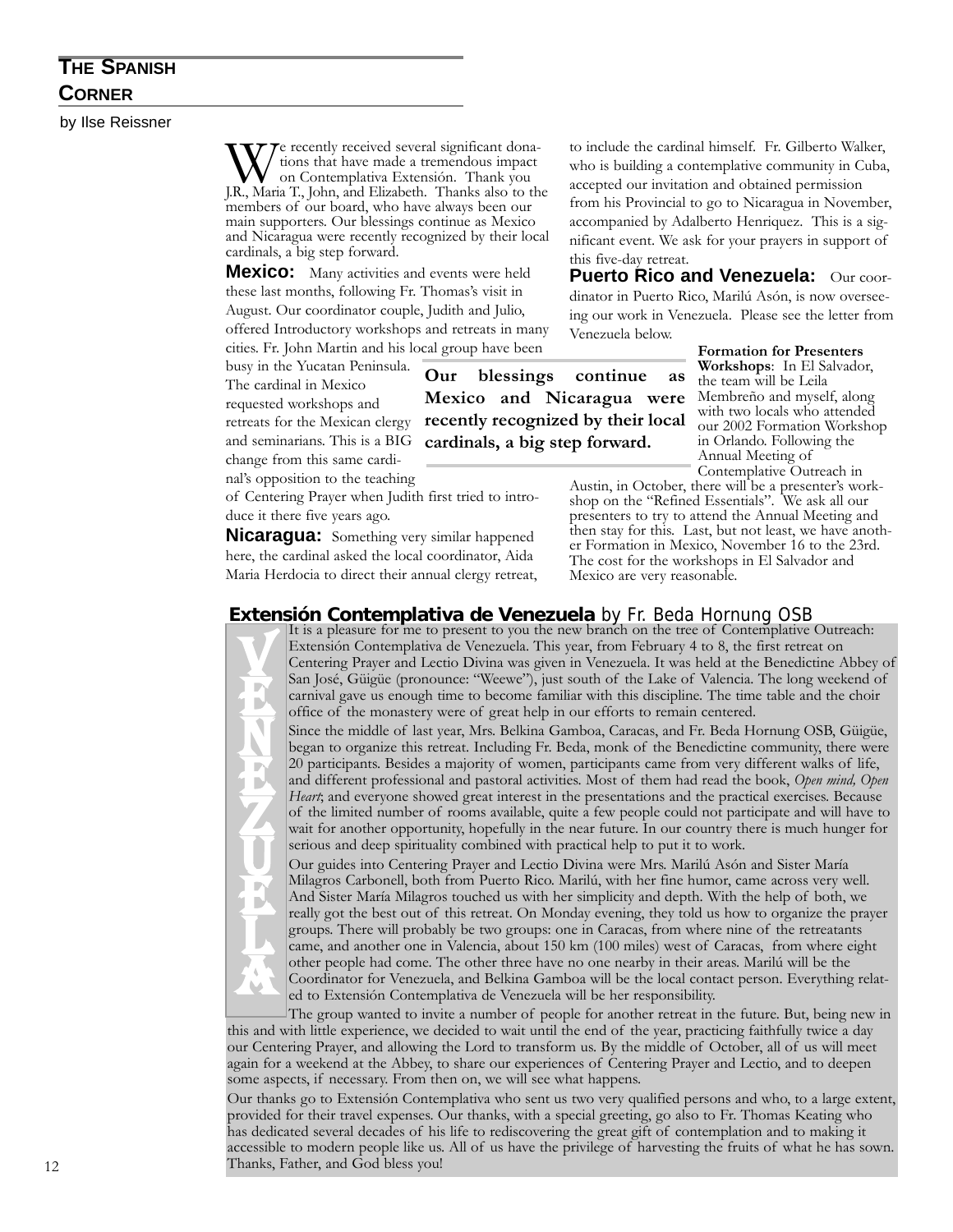## **THE SPANISH CORNER**

by Ilse Reissner

We recently received several significant dona-<br>on Contemplativa Extensión. Thank you<br>I.R. Maria T. John and Elizabeth. Thanks also to th tions that have made a tremendous impact J.R., Maria T., John, and Elizabeth. Thanks also to the members of our board, who have always been our main supporters. Our blessings continue as Mexico and Nicaragua were recently recognized by their local cardinals, a big step forward.

**Mexico:** Many activities and events were held these last months, following Fr. Thomas's visit in August. Our coordinator couple, Judith and Julio, offered Introductory workshops and retreats in many cities. Fr. John Martin and his local group have been

busy in the Yucatan Peninsula. The cardinal in Mexico

requested workshops and retreats for the Mexican clergy and seminarians. This is a BIG change from this same cardi-

nal's opposition to the teaching of Centering Prayer when Judith first tried to intro-

duce it there five years ago.

**Nicaragua:** Something very similar happened here, the cardinal asked the local coordinator, Aida Maria Herdocia to direct their annual clergy retreat,

to include the cardinal himself. Fr. Gilberto Walker, who is building a contemplative community in Cuba, accepted our invitation and obtained permission from his Provincial to go to Nicaragua in November, accompanied by Adalberto Henriquez. This is a significant event. We ask for your prayers in support of this five-day retreat.

**Puerto Rico and Venezuela:** Our coordinator in Puerto Rico, Marilú Asón, is now overseeing our work in Venezuela. Please see the letter from Venezuela below.

> **Formation for Presenters Workshops**: In El Salvador, the team will be Leila Membreño and myself, along with two locals who attended our 2002 Formation Workshop in Orlando. Following the Annual Meeting of Contemplative Outreach in

Austin, in October, there will be a presenter's workshop on the "Refined Essentials". We ask all our presenters to try to attend the Annual Meeting and then stay for this. Last, but not least, we have another Formation in Mexico, November 16 to the 23rd. The cost for the workshops in El Salvador and Mexico are very reasonable.

**Extensión Contemplativa de Venezuela** by Fr. Beda Hornung OSB

**Our blessings continue as Mexico and Nicaragua were recently recognized by their local cardinals, a big step forward.**

It is a pleasure for me to present to you the new branch on the tree of Contemplative Outreach: Extensión Contemplativa de Venezuela. This year, from February 4 to 8, the first retreat on Centering Prayer and Lectio Divina was given in Venezuela. It was held at the Benedictine Abbey of San José, Güigüe (pronounce: "Weewe"), just south of the Lake of Valencia. The long weekend of carnival gave us enough time to become familiar with this discipline. The time table and the choir office of the monastery were of great help in our efforts to remain centered.

Since the middle of last year, Mrs. Belkina Gamboa, Caracas, and Fr. Beda Hornung OSB, Güigüe, began to organize this retreat. Including Fr. Beda, monk of the Benedictine community, there were 20 participants. Besides a majority of women, participants came from very different walks of life, and different professional and pastoral activities. Most of them had read the book, *Open mind, Open Heart*; and everyone showed great interest in the presentations and the practical exercises. Because of the limited number of rooms available, quite a few people could not participate and will have to wait for another opportunity, hopefully in the near future. In our country there is much hunger for serious and deep spirituality combined with practical help to put it to work.

Our guides into Centering Prayer and Lectio Divina were Mrs. Marilú Asón and Sister María Milagros Carbonell, both from Puerto Rico. Marilú, with her fine humor, came across very well. And Sister María Milagros touched us with her simplicity and depth. With the help of both, we really got the best out of this retreat. On Monday evening, they told us how to organize the prayer groups. There will probably be two groups: one in Caracas, from where nine of the retreatants came, and another one in Valencia, about 150 km (100 miles) west of Caracas, from where eight other people had come. The other three have no one nearby in their areas. Marilú will be the Coordinator for Venezuela, and Belkina Gamboa will be the local contact person. Everything related to Extensión Contemplativa de Venezuela will be her responsibility.

The group wanted to invite a number of people for another retreat in the future. But, being new in this and with little experience, we decided to wait until the end of the year, practicing faithfully twice a day our Centering Prayer, and allowing the Lord to transform us. By the middle of October, all of us will meet again for a weekend at the Abbey, to share our experiences of Centering Prayer and Lectio, and to deepen some aspects, if necessary. From then on, we will see what happens.

Our thanks go to Extensión Contemplativa who sent us two very qualified persons and who, to a large extent, provided for their travel expenses. Our thanks, with a special greeting, go also to Fr. Thomas Keating who has dedicated several decades of his life to rediscovering the great gift of contemplation and to making it accessible to modern people like us. All of us have the privilege of harvesting the fruits of what he has sown. 12 Thanks, Father, and God bless you!

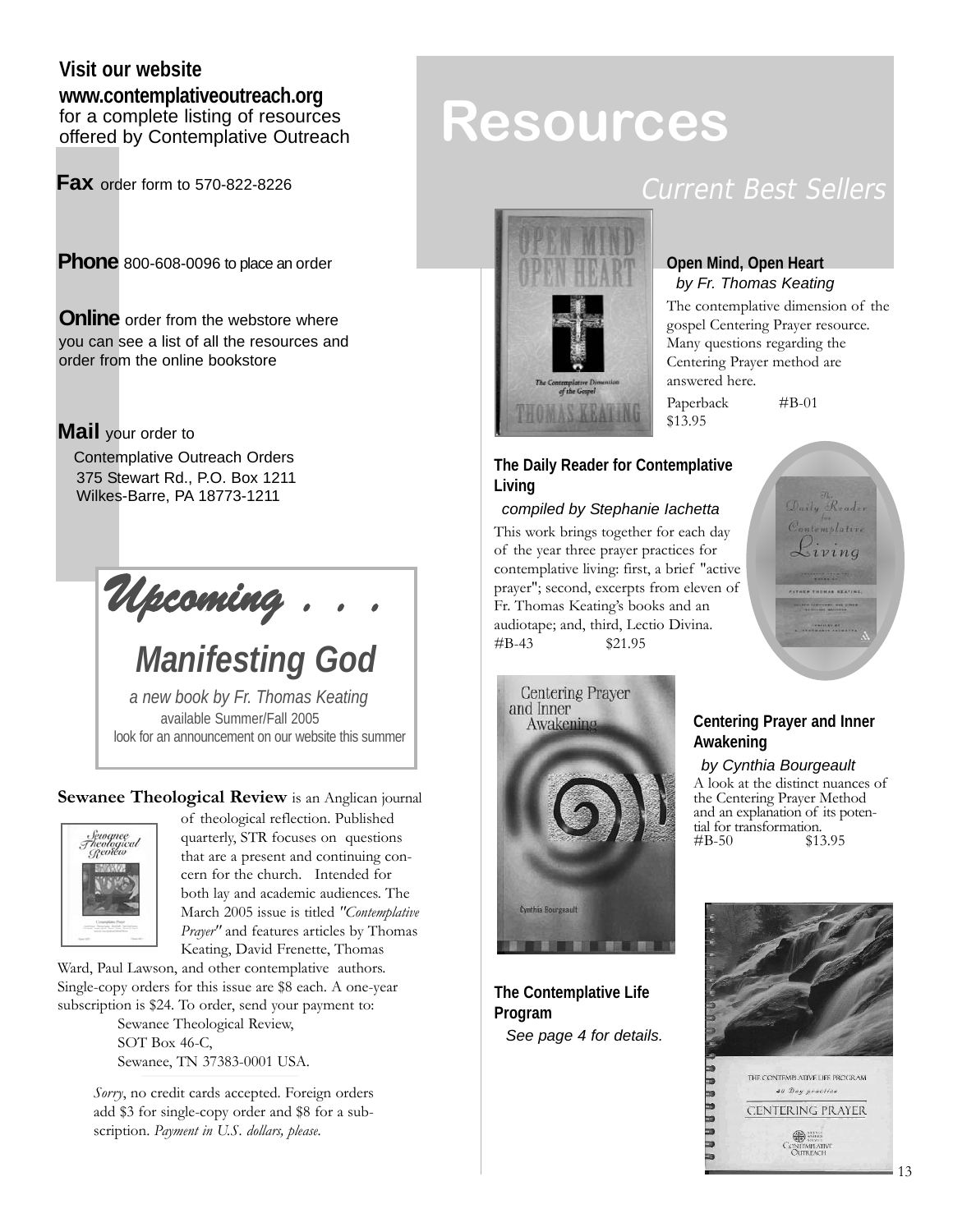#### **Visit our website www.contemplativeoutreach.org** for a complete listing of resources offered by Contemplative Outreach

**Fax** order form to 570-822-8226

**Phone** 800-608-0096 to place an order

**Online** order from the webstore where you can see a list of all the resources and order from the online bookstore

#### **Mail** your order to

Contemplative Outreach Orders 375 Stewart Rd., P.O. Box 1211 Wilkes-Barre, PA 18773-1211

*Upcoming . . .*

*Manifesting God*

*a new book by Fr. Thomas Keating*  available Summer/Fall 2005 look for an announcement on our website this summer

#### **Sewanee Theological Review** is an Anglican journal



of theological reflection. Published quarterly, STR focuses on questions that are a present and continuing concern for the church. Intended for both lay and academic audiences. The March 2005 issue is titled *"Contemplative Prayer"* and features articles by Thomas Keating, David Frenette, Thomas

Ward, Paul Lawson, and other contemplative authors. Single-copy orders for this issue are \$8 each. A one-year subscription is \$24. To order, send your payment to:

> Sewanee Theological Review, SOT Box 46-C, Sewanee, TN 37383-0001 USA.

*Sorry*, no credit cards accepted. Foreign orders add \$3 for single-copy order and \$8 for a subscription. *Payment in U.S. dollars, please.*

# **Resources**

## Current Best Sellers



#### **Open Mind, Open Heart**  *by Fr. Thomas Keating*

The contemplative dimension of the gospel Centering Prayer resource. Many questions regarding the Centering Prayer method are answered here.

Paperback #B-01



#### **The Daily Reader for Contemplative Living**

\$13.95

#### *compiled by Stephanie Iachetta*

This work brings together for each day of the year three prayer practices for contemplative living: first, a brief "active prayer"; second, excerpts from eleven of Fr. Thomas Keating's books and an audiotape; and, third, Lectio Divina. #B-43 \$21.95



**The Contemplative Life Program** *See page 4 for details.*

#### **Centering Prayer and Inner Awakening**

*by Cynthia Bourgeault* A look at the distinct nuances of

the Centering Prayer Method and an explanation of its potential for transformation.<br>#B-50  $$1^{\circ}$ \$13.95

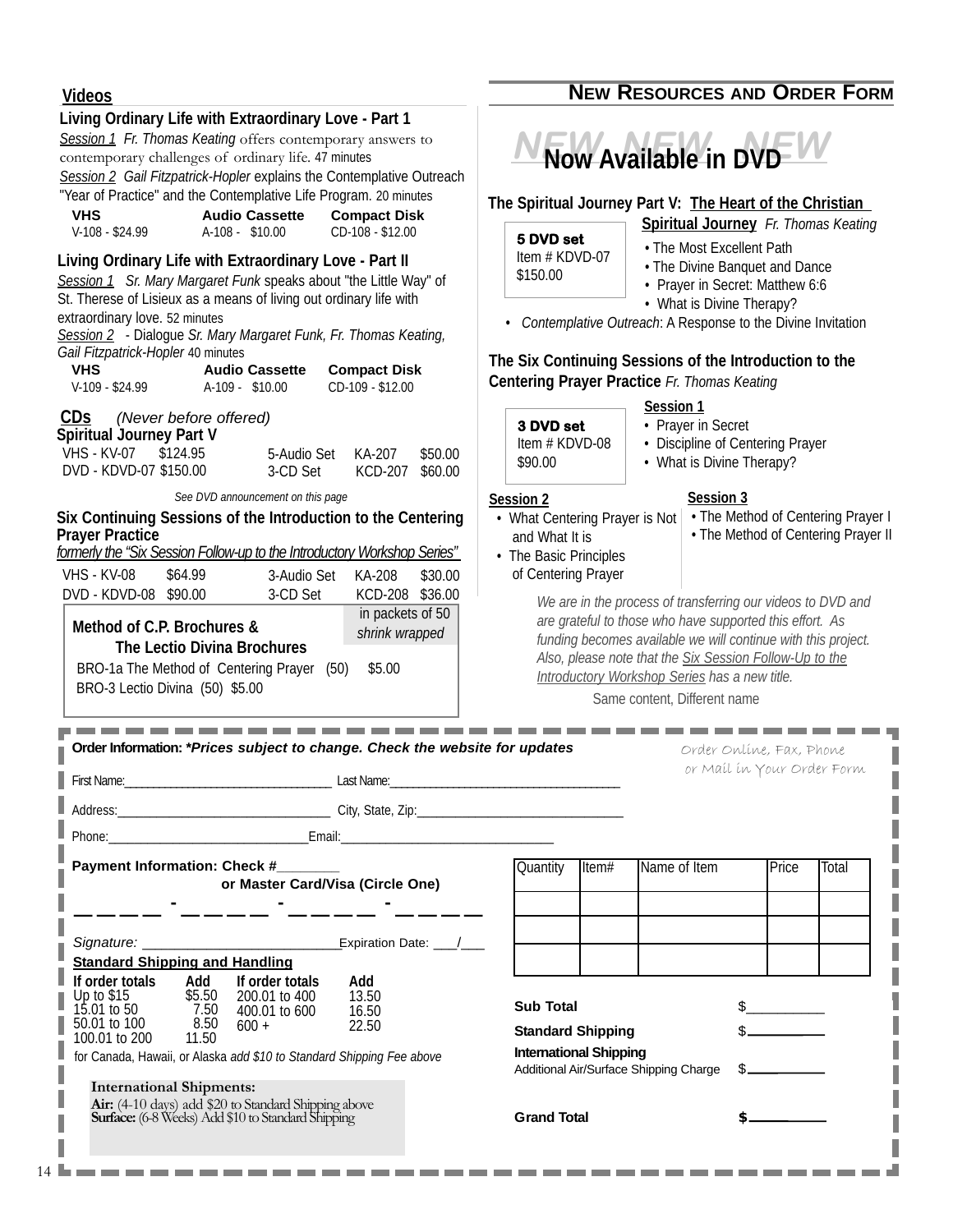#### **Videos NEW RESOURCES AND ORDER FORM Living Ordinary Life with Extraordinary Love - Part 1**  *Session 1 Fr. Thomas Keating* offers contemporary answers to **NEW NEW NEW Now Available in DVD** contemporary challenges of ordinary life. 47 minutes *Session 2 Gail Fitzpatrick-Hopler* explains the Contemplative Outreach "Year of Practice" and the Contemplative Life Program. 20 minutes **The Spiritual Journey Part V: The Heart of the Christian VHS Audio Cassette Compact Disk Spiritual Journey** *Fr. Thomas Keating* V-108 - \$24.99 A-108 - \$10.00 CD-108 - \$12.00 **5 DVD set**  • The Most Excellent Path Item # KDVD-07 **Living Ordinary Life with Extraordinary Love - Part II**  • The Divine Banquet and Dance \$150.00 *Session 1 Sr. Mary Margaret Funk* speaks about "the Little Way" of • Prayer in Secret: Matthew 6:6 St. Therese of Lisieux as a means of living out ordinary life with • What is Divine Therapy? extraordinary love. 52 minutes • *Contemplative Outreach*: A Response to the Divine Invitation *Session 2* - Dialogue *Sr. Mary Margaret Funk, Fr. Thomas Keating, Gail Fitzpatrick-Hopler* 40 minutes **The Six Continuing Sessions of the Introduction to the VHS Audio Cassette Compact Disk Centering Prayer Practice** *Fr. Thomas Keating* V-109 - \$24.99 A-109 - \$10.00 CD-109 - \$12.00 **Session 1 CDs** *(Never before offered)* • Prayer in Secret **3 DVD set Spiritual Journey Part V**  Item # KDVD-08 • Discipline of Centering Prayer VHS - KV-07 \$124.95 5-Audio Set KA-207 \$50.00 \$90.00 • What is Divine Therapy? DVD - KDVD-07 \$150.00KCD-207 \$60.00 *See DVD announcement on this page* **Session 3 Session 2** • The Method of Centering Prayer I **Six Continuing Sessions of the Introduction to the Centering** • What Centering Prayer is Not **Prayer Practice**  • The Method of Centering Prayer II and What It is *formerly the "Six Session Follow-up to the Introductory Workshop Series"*  • The Basic Principles VHS - KV-08 \$64.99 3-Audio Set KA-208 \$30.00 of Centering Prayer DVD - KDVD-08 \$90.00 3-CD Set KCD-208 \$36.00 *We are in the process of transferring our videos to DVD and* in packets of 50 *are grateful to those who have supported this effort. As* **Method of C.P. Brochures &** *shrink wrapped funding becomes available we will continue with this project.* **The Lectio Divina Brochures** *Also, please note that the Six Session Follow-Up to the* BRO-1a The Method of Centering Prayer (50) \$5.00 *Introductory Workshop Series has a new title.*  BRO-3 Lectio Divina (50) \$5.00 Same content, Different name . . . . . . . . . . . . . . . . **Order Information:** *\*Prices subject to change. Check the website for updates* Order Online, Fax, Phone or Mail in Your Order Form First Name:\_\_\_\_\_\_\_\_\_\_\_\_\_\_\_\_\_\_\_\_\_\_\_\_\_\_\_\_\_\_\_\_\_\_\_\_ Last Name:\_\_\_\_\_\_\_\_\_\_\_\_\_\_\_\_\_\_\_\_\_\_\_\_\_\_\_\_\_\_\_\_\_\_\_\_\_\_\_\_ Address:\_\_\_\_\_\_\_\_\_\_\_\_\_\_\_\_\_\_\_\_\_\_\_\_\_\_\_\_\_\_\_\_\_ City, State, Zip:\_\_\_\_\_\_\_\_\_\_\_\_\_\_\_\_\_\_\_\_\_\_\_\_\_\_\_\_\_\_\_\_ Phone:\_\_\_\_\_\_\_\_\_\_\_\_\_\_\_\_\_\_\_\_\_\_\_\_\_\_\_\_\_\_\_Email:\_\_\_\_\_\_\_\_\_\_\_\_\_\_\_\_\_\_\_\_\_\_\_\_\_\_\_\_\_\_\_\_\_ **Payment Information: Check #**  $\Box$  **Cuantity Item Aname of Item Price Item Price Item or Master Card/Visa (Circle One) ———— - ———— - ———— - ————** Signature: Expiration Date: \_\_\_/\_\_\_ **Standard Shipping and Handling If order totals Add**<br>Up to \$15 \$5.50 **If order totals Add**<br>200.01 to 400 13.50 200.01 to 400 13.50<br>400.01 to 600 16.50 Up to \$15 \$5.50<br>15.01 to 50 7.50 **Sub Total**  $\frac{1}{2}$  **\$** 15.01 to 50 7.50 400.01 to 600  $600 +$ **Standard Shipping**  \$ 50.01 to 100 8.50<br>100.01 to 200 11.50 22.50 100.01 to 200 I **International Shipping** for Canada, Hawaii, or Alaska *add \$10 to Standard Shipping Fee above* Additional Air/Surface Shipping Charge \$ **International Shipments:** I **Air:** (4-10 days) add \$20 to Standard Shipping above **Surface:**(6-8 Weeks) Add \$10 to Standard Shipping **Grand Total**

bar 1 I

. . . . . . . . . . . . .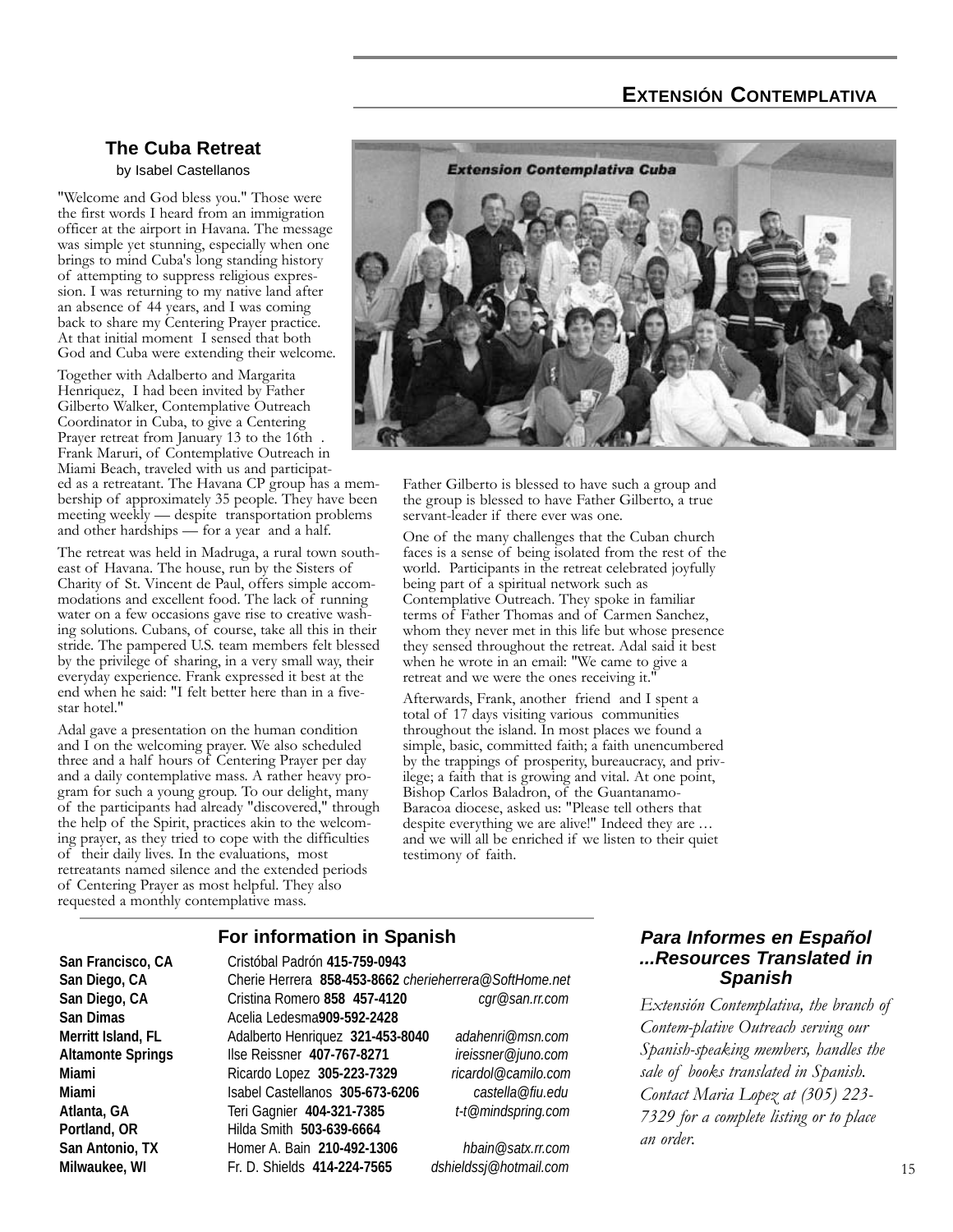#### **EXTENSIÓN CONTEMPLATIVA**

#### **The Cuba Retreat**  by Isabel Castellanos

"Welcome and God bless you." Those were the first words I heard from an immigration officer at the airport in Havana. The message was simple yet stunning, especially when one brings to mind Cuba's long standing history of attempting to suppress religious expression. I was returning to my native land after an absence of 44 years, and I was coming back to share my Centering Prayer practice. At that initial moment I sensed that both God and Cuba were extending their welcome.

Together with Adalberto and Margarita Henriquez, I had been invited by Father Gilberto Walker, Contemplative Outreach Coordinator in Cuba, to give a Centering Prayer retreat from January 13 to the 16th Frank Maruri, of Contemplative Outreach in Miami Beach, traveled with us and participated as a retreatant. The Havana CP group has a membership of approximately 35 people. They have been

meeting weekly — despite transportation problems and other hardships — for a year and a half.

The retreat was held in Madruga, a rural town southeast of Havana. The house, run by the Sisters of Charity of St. Vincent de Paul, offers simple accommodations and excellent food. The lack of running water on a few occasions gave rise to creative washing solutions. Cubans, of course, take all this in their stride. The pampered U.S. team members felt blessed by the privilege of sharing, in a very small way, their everyday experience. Frank expressed it best at the end when he said: "I felt better here than in a fivestar hotel."

Adal gave a presentation on the human condition and I on the welcoming prayer. We also scheduled three and a half hours of Centering Prayer per day and a daily contemplative mass. A rather heavy program for such a young group. To our delight, many of the participants had already "discovered," through the help of the Spirit, practices akin to the welcoming prayer, as they tried to cope with the difficulties of their daily lives. In the evaluations, most retreatants named silence and the extended periods of Centering Prayer as most helpful. They also requested a monthly contemplative mass.



Father Gilberto is blessed to have such a group and the group is blessed to have Father Gilberto, a true servant-leader if there ever was one.

One of the many challenges that the Cuban church faces is a sense of being isolated from the rest of the world. Participants in the retreat celebrated joyfully being part of a spiritual network such as Contemplative Outreach. They spoke in familiar terms of Father Thomas and of Carmen Sanchez, whom they never met in this life but whose presence they sensed throughout the retreat. Adal said it best when he wrote in an email: "We came to give a retreat and we were the ones receiving it."

Afterwards, Frank, another friend and I spent a total of 17 days visiting various communities throughout the island. In most places we found a simple, basic, committed faith; a faith unencumbered by the trappings of prosperity, bureaucracy, and privilege; a faith that is growing and vital. At one point, Bishop Carlos Baladron, of the Guantanamo-Baracoa diocese, asked us: "Please tell others that despite everything we are alive!" Indeed they are ... and we will all be enriched if we listen to their quiet testimony of faith.

#### **For information in Spanish**

**San Francisco, CA** Cristóbal Padrón **415-759-0943 San Diego, CA** Cherie Herrera **858-453-8662** *cherieherrera@SoftHome.net* **San Diego, CA** Cristina Romero **858 457-4120** *cgr@san.rr.com* **San Dimas** Acelia Ledesma**909-592-2428 Merritt Island, FL** Adalberto Henriquez **321-453-8040** *adahenri@msn.com* **Altamonte Springs** Ilse Reissner **407-767-8271** *ireissner@juno.com* **Miami** Ricardo Lopez **305-223-7329** *ricardol@camilo.com* **Miami** Isabel Castellanos **305-673-6206** *castella@fiu.edu* **Atlanta, GA** Teri Gagnier **404-321-7385** *t-t@mindspring.com* **Portland, OR** Hilda Smith **503-639-6664 San Antonio, TX** Homer A. Bain **210-492-1306** *hbain@satx.rr.com* **Milwaukee, WI** Fr. D. Shields **414-224-7565** *dshieldssj@hotmail.com*

#### *Para Informes en Español ...Resources Translated in Spanish*

*Extensión Contemplativa, the branch of Contem-plative Outreach serving our Spanish-speaking members, handles the sale of books translated in Spanish. Contact Maria Lopez at (305) 223- 7329 for a complete listing or to place an order.*